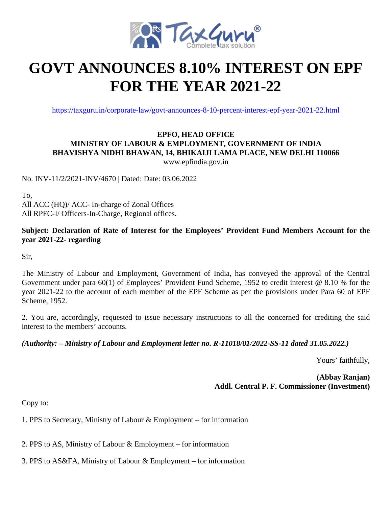

## **GOVT ANNOUNCES 8.10% INTEREST ON EPF FOR THE YEAR 2021-22**

https://taxguru.in/corporate-law/govt-announces-8-10-percent-interest-epf-year-2021-22.html

## **EPFO, HEAD OFFICE MINISTRY OF LABOUR & EMPLOYMENT, GOVERNMENT OF INDIA BHAVISHYA NIDHI BHAWAN, 14, BHIKAIJI LAMA PLACE, NEW DELHI 110066** www.epfindia.gov.in

No. INV-11/2/2021-INV/4670 | Dated: Date: 03.06.2022

To, All ACC (HQ)/ ACC- In-charge of Zonal Offices All RPFC-I/ Officers-In-Charge, Regional offices.

## **Subject: Declaration of Rate of Interest for the Employees' Provident Fund Members Account for the year 2021-22- regarding**

Sir,

The Ministry of Labour and Employment, Government of India, has conveyed the approval of the Central Government under para 60(1) of Employees' Provident Fund Scheme, 1952 to credit interest @ 8.10 % for the year 2021-22 to the account of each member of the EPF Scheme as per the provisions under Para 60 of EPF Scheme, 1952.

2. You are, accordingly, requested to issue necessary instructions to all the concerned for crediting the said interest to the members' accounts.

*(Authority: – Ministry of Labour and Employment letter no. R-11018/01/2022-SS-11 dated 31.05.2022.)*

Yours' faithfully,

**(Abbay Ranjan) Addl. Central P. F. Commissioner (Investment)**

Copy to:

1. PPS to Secretary, Ministry of Labour & Employment – for information

2. PPS to AS, Ministry of Labour & Employment – for information

3. PPS to AS&FA, Ministry of Labour & Employment – for information